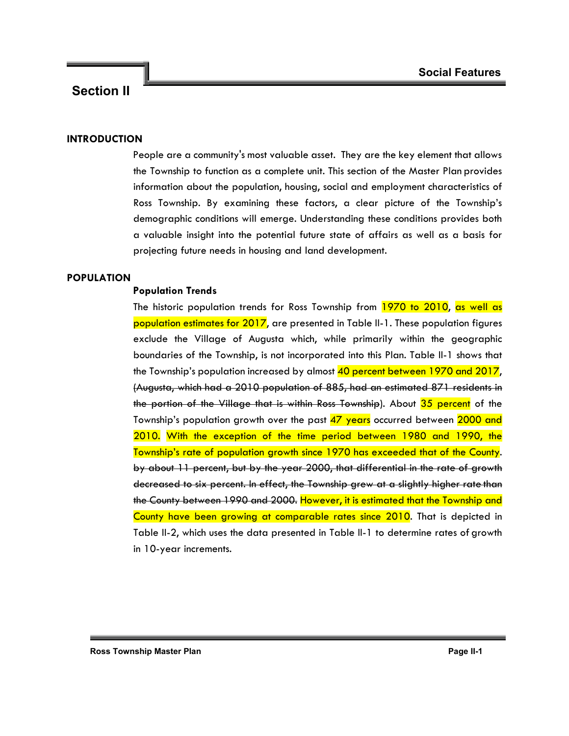### **INTRODUCTION**

People are a community's most valuable asset. They are the key element that allows the Township to function as a complete unit. This section of the Master Plan provides information about the population, housing, social and employment characteristics of Ross Township. By examining these factors, a clear picture of the Township's demographic conditions will emerge. Understanding these conditions provides both a valuable insight into the potential future state of affairs as well as a basis for projecting future needs in housing and land development.

### **POPULATION**

### **Population Trends**

The historic population trends for Ross Township from 1970 to 2010, as well as population estimates for 2017, are presented in Table II-1. These population figures exclude the Village of Augusta which, while primarily within the geographic boundaries of the Township, is not incorporated into this Plan. Table II-1 shows that the Township's population increased by almost 40 percent between 1970 and 2017, (Augusta, which had a 2010 population of 885, had an estimated 871 residents in the portion of the Village that is within Ross Township). About 35 percent of the Township's population growth over the past 47 years occurred between 2000 and 2010. With the exception of the time period between 1980 and 1990, the Township's rate of population growth since 1970 has exceeded that of the County. by about 11 percent, but by the year 2000, that differential in the rate of growth decreased to six percent. In effect, the Township grew at a slightly higher rate than the County between 1990 and 2000. However, it is estimated that the Township and County have been growing at comparable rates since 2010. That is depicted in Table II-2, which uses the data presented in Table II-1 to determine rates of growth in 10-year increments.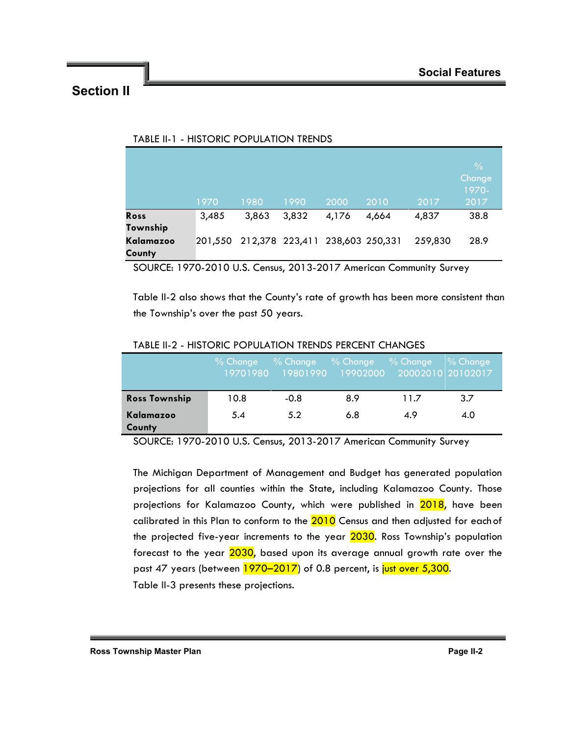|                     |       |                                         |       |       |       |         | $\frac{0}{0}$<br>Change<br>1970- |
|---------------------|-------|-----------------------------------------|-------|-------|-------|---------|----------------------------------|
|                     | 1970  | 1980                                    | 1990  | 2000  | 2010  | 2017    | 2017                             |
| Ross<br>Township    | 3,485 | 3,863                                   | 3,832 | 4,176 | 4,664 | 4,837   | 38.8                             |
| Kalamazoo<br>County |       | 201,550 212,378 223,411 238,603 250,331 |       |       |       | 259,830 | 28.9                             |

### TABLE II-1 - HISTORIC POPULATION TRENDS

SOURCE: 1970-2010 U.S. Census, 2013-2017 American Community Survey

Table II-2 also shows that the County's rate of growth has been more consistent than the Township's over the past 50 years.

|                      | $%$ Change |        | % Change % Change % Change<br>19701980 19801990 19902000 20002010 20102017 |      | % Change |
|----------------------|------------|--------|----------------------------------------------------------------------------|------|----------|
| <b>Ross Township</b> | 10.8       | $-0.8$ | 8.9                                                                        | 11.7 | 3.7      |
| Kalamazoo<br>County  | 5.4        | 5.2    | 6.8                                                                        | 4.9  | 4.0      |

### TABLE II-2 - HISTORIC POPULATION TRENDS PERCENT CHANGES

SOURCE: 1970-2010 U.S. Census, 2013-2017 American Community Survey

The Michigan Department of Management and Budget has generated population projections for all counties within the State, including Kalamazoo County. Those projections for Kalamazoo County, which were published in 2018, have been calibrated in this Plan to conform to the 2010 Census and then adjusted for each of the projected five-year increments to the year 2030. Ross Township's population forecast to the year 2030, based upon its average annual growth rate over the past 47 years (between 1970–2017) of 0.8 percent, is just over 5,300. Table II-3 presents these projections.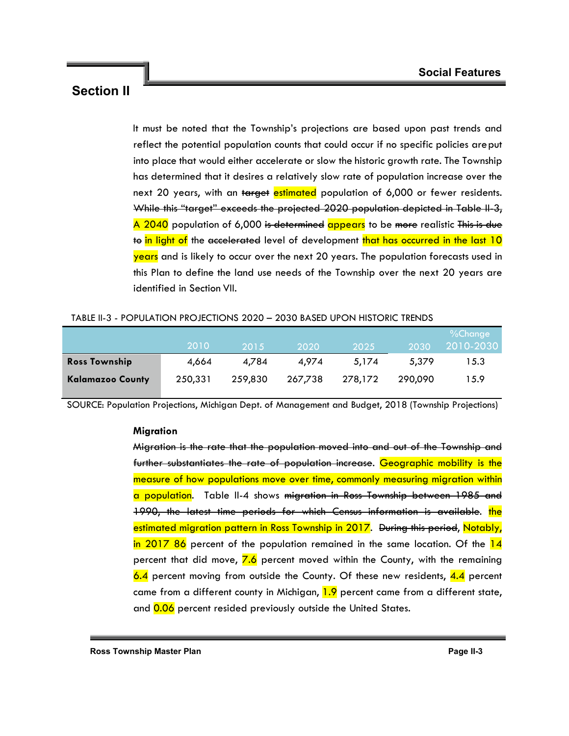It must be noted that the Township's projections are based upon past trends and reflect the potential population counts that could occur if no specific policies areput into place that would either accelerate or slow the historic growth rate. The Township has determined that it desires a relatively slow rate of population increase over the next 20 years, with an target estimated population of 6,000 or fewer residents. While this "target" exceeds the projected 2020 population depicted in Table II-3, A 2040 population of 6,000 is determined appears to be more realistic This is due to in light of the accelerated level of development that has occurred in the last 10 years and is likely to occur over the next 20 years. The population forecasts used in this Plan to define the land use needs of the Township over the next 20 years are identified in Section VII.

### TABLE II-3 - POPULATION PROJECTIONS 2020 – 2030 BASED UPON HISTORIC TRENDS

|                         | 2010    | 2015/   | 2020    | 2025    | 2030    | %Change<br>2010-2030 |
|-------------------------|---------|---------|---------|---------|---------|----------------------|
| <b>Ross Township</b>    | 4.664   | 4.784   | 4.974   | 5.174   | 5.379   | 15.3                 |
| <b>Kalamazoo County</b> | 250.331 | 259,830 | 267,738 | 278,172 | 290,090 | 15.9                 |

SOURCE: Population Projections, Michigan Dept. of Management and Budget, 2018 (Township Projections)

### **Migration**

Migration is the rate that the population moved into and out of the Township and further substantiates the rate of population increase. Geographic mobility is the measure of how populations move over time, commonly measuring migration within a population. Table II-4 shows migration in Ross Township between 1985 and 1990, the latest time periods for which Census information is available. the estimated migration pattern in Ross Township in 2017. During this period, Notably, in 2017 86 percent of the population remained in the same location. Of the  $14$ percent that did move,  $\frac{7.6}{ }$  percent moved within the County, with the remaining 6.4 percent moving from outside the County. Of these new residents, 4.4 percent came from a different county in Michigan,  $1.9$  percent came from a different state, and 0.06 percent resided previously outside the United States.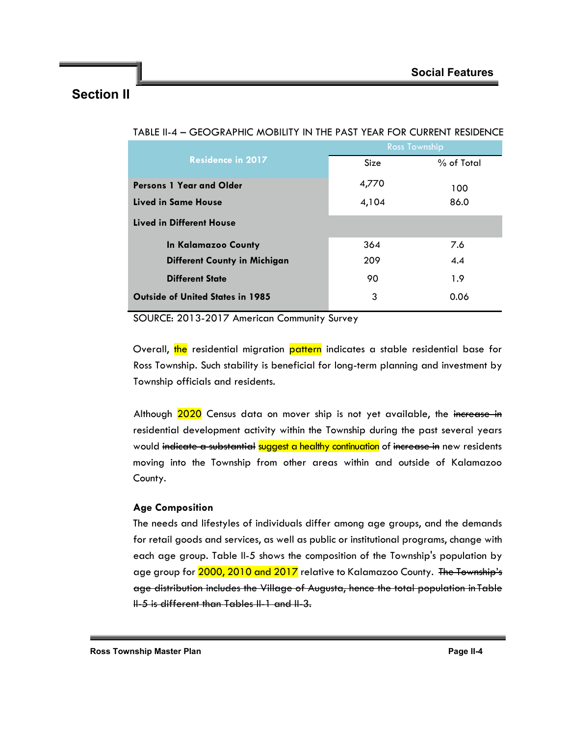|                                         | <b>Ross Township</b> |            |  |
|-----------------------------------------|----------------------|------------|--|
| <b>Residence in 2017</b>                | Size                 | % of Total |  |
| Persons 1 Year and Older                | 4,770                | 100        |  |
| Lived in Same House                     | 4,104                | 86.0       |  |
| Lived in Different House                |                      |            |  |
| In Kalamazoo County                     | 364                  | 7.6        |  |
| <b>Different County in Michigan</b>     | 209                  | 4.4        |  |
| <b>Different State</b>                  | 90                   | 1.9        |  |
| <b>Outside of United States in 1985</b> | 3                    | 0.06       |  |

|--|

SOURCE: 2013-2017 American Community Survey

Overall, the residential migration pattern indicates a stable residential base for Ross Township. Such stability is beneficial for long-term planning and investment by Township officials and residents.

Although 2020 Census data on mover ship is not yet available, the increase in residential development activity within the Township during the past several years would indicate a substantial suggest a healthy continuation of increase in new residents moving into the Township from other areas within and outside of Kalamazoo County.

### **Age Composition**

The needs and lifestyles of individuals differ among age groups, and the demands for retail goods and services, as well as public or institutional programs, change with each age group. Table II-5 shows the composition of the Township's population by age group for 2000, 2010 and 2017 relative to Kalamazoo County. The Township's age distribution includes the Village of Augusta, hence the total population in Table II-5 is different than Tables II-1 and II-3.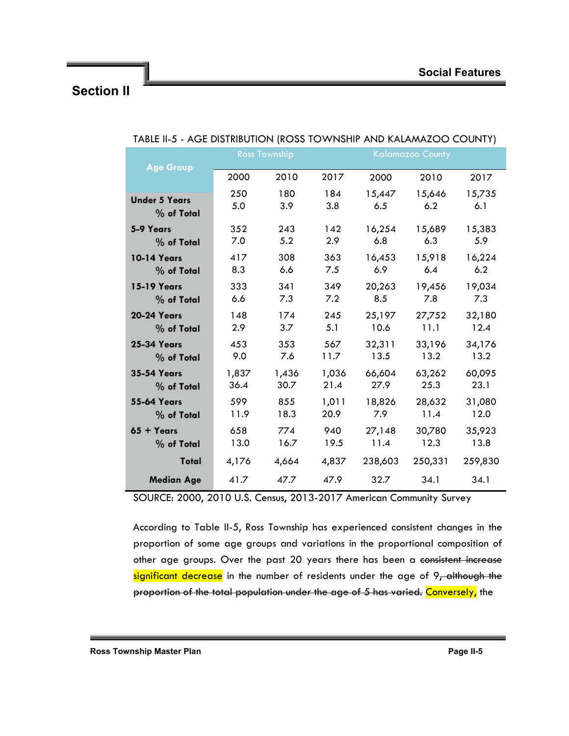| <b>Age Group</b>     |       | <b>Ross Township</b> |       |         | <b>Kalamazoo County</b> |         |
|----------------------|-------|----------------------|-------|---------|-------------------------|---------|
|                      | 2000  | 2010                 | 2017  | 2000    | 2010                    | 2017    |
| <b>Under 5 Years</b> | 250   | 180                  | 184   | 15,447  | 15,646                  | 15,735  |
| $%$ of Total         | 5.0   | 3.9                  | 3.8   | 6.5     | 6.2                     | 6.1     |
| 5-9 Years            | 352   | 243                  | 142   | 16,254  | 15,689                  | 15,383  |
| $%$ of Total         | 7.0   | 5.2                  | 2.9   | 6.8     | 6.3                     | 5.9     |
| <b>10-14 Years</b>   | 417   | 308                  | 363   | 16,453  | 15,918                  | 16,224  |
| % of Total           | 8.3   | 6.6                  | 7.5   | 6.9     | 6.4                     | 6.2     |
| <b>15-19 Years</b>   | 333   | 341                  | 349   | 20,263  | 19,456                  | 19,034  |
| % of Total           | 6.6   | 7.3                  | 7.2   | 8.5     | 7.8                     | 7.3     |
| <b>20-24 Years</b>   | 148   | 174                  | 245   | 25,197  | 27,752                  | 32,180  |
| % of Total           | 2.9   | 3.7                  | 5.1   | 10.6    | 11.1                    | 12.4    |
| <b>25-34 Years</b>   | 453   | 353                  | 567   | 32,311  | 33,196                  | 34,176  |
| % of Total           | 9.0   | 7.6                  | 11.7  | 13.5    | 13.2                    | 13.2    |
| <b>35-54 Years</b>   | 1,837 | 1,436                | 1,036 | 66,604  | 63,262                  | 60,095  |
| % of Total           | 36.4  | 30.7                 | 21.4  | 27.9    | 25.3                    | 23.1    |
| <b>55-64 Years</b>   | 599   | 855                  | 1,011 | 18,826  | 28,632                  | 31,080  |
| % of Total           | 11.9  | 18.3                 | 20.9  | 7.9     | 11.4                    | 12.0    |
| $65 + Years$         | 658   | 774                  | 940   | 27,148  | 30,780                  | 35,923  |
| % of Total           | 13.0  | 16.7                 | 19.5  | 11.4    | 12.3                    | 13.8    |
| Total                | 4,176 | 4,664                | 4,837 | 238,603 | 250,331                 | 259,830 |
| <b>Median Age</b>    | 41.7  | 47.7                 | 47.9  | 32.7    | 34.1                    | 34.1    |

### TABLE II-5 - AGE DISTRIBUTION (ROSS TOWNSHIP AND KALAMAZOO COUNTY)

SOURCE: 2000, 2010 U.S. Census, 2013-2017 American Community Survey

According to Table II-5, Ross Township has experienced consistent changes in the proportion of some age groups and variations in the proportional composition of other age groups. Over the past 20 years there has been a consistent increase significant decrease in the number of residents under the age of 9, although the proportion of the total population under the age of 5 has varied. Conversely, the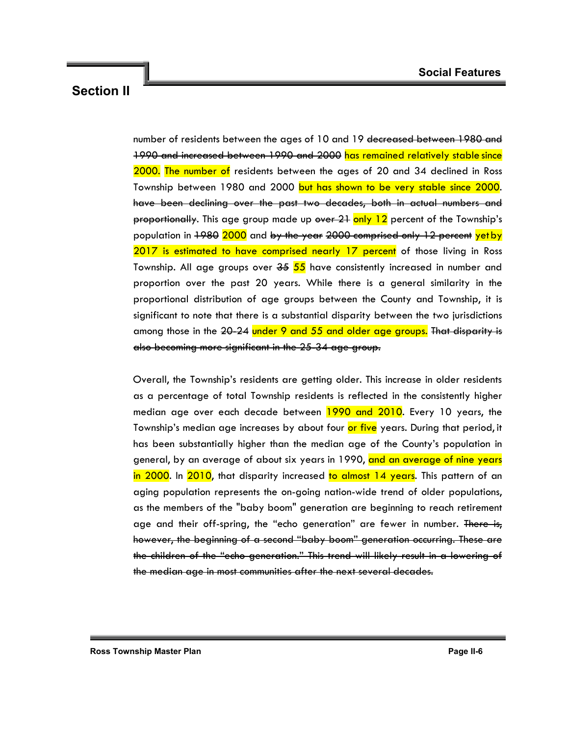number of residents between the ages of 10 and 19 decreased between 1980 and 1990 and increased between 1990 and 2000 has remained relatively stable since 2000. The number of residents between the ages of 20 and 34 declined in Ross Township between 1980 and 2000 but has shown to be very stable since 2000. have been declining over the past two decades, both in actual numbers and proportionally. This age group made up over 21 only 12 percent of the Township's population in 1980 2000 and by the year 2000 comprised only 12 percent yet by 2017 is estimated to have comprised nearly 17 percent of those living in Ross Township. All age groups over <del>35</del> 55 have consistently increased in number and proportion over the past 20 years. While there is a general similarity in the proportional distribution of age groups between the County and Township, it is significant to note that there is a substantial disparity between the two jurisdictions among those in the 20-24 under 9 and 55 and older age groups. That disparity is also becoming more significant in the 25-34 age group.

Overall, the Township's residents are getting older. This increase in older residents as a percentage of total Township residents is reflected in the consistently higher median age over each decade between 1990 and 2010. Every 10 years, the Township's median age increases by about four or five years. During that period, it has been substantially higher than the median age of the County's population in general, by an average of about six years in 1990, and an average of nine years in 2000. In 2010, that disparity increased to almost 14 years. This pattern of an aging population represents the on-going nation-wide trend of older populations, as the members of the "baby boom" generation are beginning to reach retirement age and their off-spring, the "echo generation" are fewer in number. There is, however, the beginning of a second "baby boom" generation occurring. These are the children of the "echo generation." This trend will likely result in a lowering of the median age in most communities after the next several decades.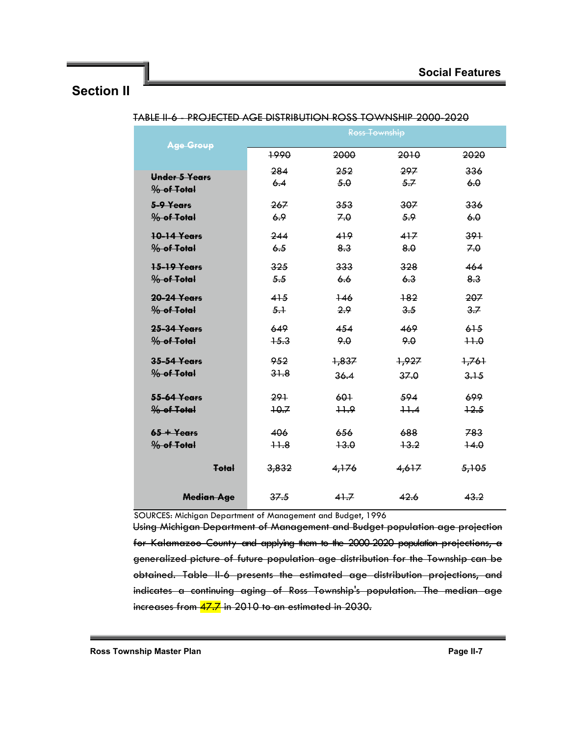| <b>Age Group</b>       |        |        | <b>Ross Township</b> |        |
|------------------------|--------|--------|----------------------|--------|
|                        | 1990   | 2000   | 2010                 | 2020   |
| Under 5 Years          | 284    | 252    | 297                  | 336    |
| % of Total             | 6.4    | 5.0    | 5.7                  | 6.0    |
| 5-9 Years              | 267    | 353    | 307                  | 336    |
| % of Total             | 6.9    | 7.0    | 5.9                  | 6.0    |
| <b>10-14 Years</b>     | 244    | 419    | 417                  | 391    |
| % of Total             | 6.5    | 8.3    | 8.0                  | 7.0    |
| 15-19 Years            | 325    | 333    | 328                  | 464    |
| % of Total             | 5.5    | 6.6    | 6.3                  | 8.3    |
| <b>20-24 Years</b>     | 415    | $+46$  | $+82$                | 207    |
| % of Total             | $5+$   | 2.9    | 3.5                  | 3.7    |
| <b>25-34 Years</b>     | 649    | 454    | 469                  | 61.5   |
| % of Total             | $+5.3$ | 9.0    | 9.0                  | $++0$  |
| <b>35-54 Years</b>     | 952    | 1,837  | +,927                | 7,761  |
| % of Total             | 31.8   | 36.4   | 37.0                 | 3.15   |
| 55-64 Years            | 291    | 601    | 594                  | 699    |
| % of Total             | $+0.7$ | $+1.9$ | $+1.4$               | $+2.5$ |
| $65 + Y_{\text{ears}}$ | 406    | 656    | 688                  | 783    |
| % of Total             | $+1.8$ | $+3.0$ | $+3.2$               | $+4.0$ |
| Total                  | 3,832  | 4,176  | 4,617                | 5,105  |
|                        |        |        |                      |        |
| <b>Median Age</b>      | 37.5   | 41.7   | 42.6                 | 43.2   |

TABLE II-6 - PROJECTED AGE DISTRIBUTION ROSS TOWNSHIP 2000-2020

SOURCES: Michigan Department of Management and Budget, 1996

Using Michigan Department of Management and Budget population age projection for Kalamazoo County and applying them to the 2000-2020 population projections, a generalized picture of future population age distribution for the Township can be obtained. Table II-6 presents the estimated age distribution projections, and indicates a continuing aging of Ross Township's population. The median age increases from 47.7 in 2010 to an estimated in 2030.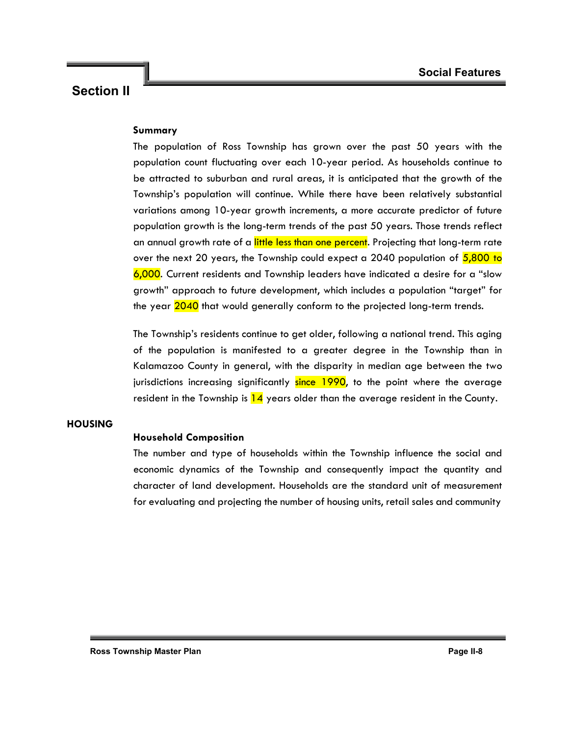### **Summary**

The population of Ross Township has grown over the past 50 years with the population count fluctuating over each 10-year period. As households continue to be attracted to suburban and rural areas, it is anticipated that the growth of the Township's population will continue. While there have been relatively substantial variations among 10-year growth increments, a more accurate predictor of future population growth is the long-term trends of the past 50 years. Those trends reflect an annual growth rate of a little less than one percent. Projecting that long-term rate over the next 20 years, the Township could expect a 2040 population of  $5,800$  to 6,000. Current residents and Township leaders have indicated a desire for a "slow growth" approach to future development, which includes a population "target" for the year 2040 that would generally conform to the projected long-term trends.

The Township's residents continue to get older, following a national trend. This aging of the population is manifested to a greater degree in the Township than in Kalamazoo County in general, with the disparity in median age between the two jurisdictions increasing significantly since 1990, to the point where the average resident in the Township is  $14$  years older than the average resident in the County.

### **HOUSING**

### **Household Composition**

The number and type of households within the Township influence the social and economic dynamics of the Township and consequently impact the quantity and character of land development. Households are the standard unit of measurement for evaluating and projecting the number of housing units, retail sales and community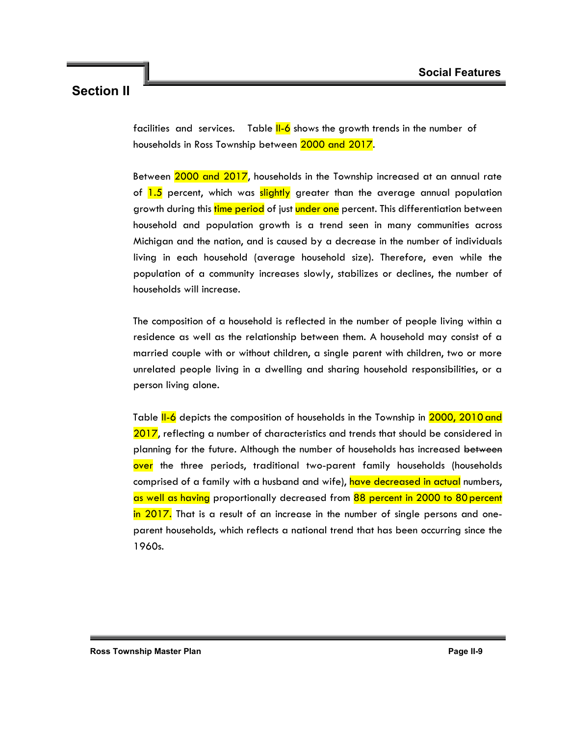facilities and services. Table  $II$ -6 shows the growth trends in the number of households in Ross Township between 2000 and 2017.

Between 2000 and 2017, households in the Township increased at an annual rate of 1.5 percent, which was slightly greater than the average annual population growth during this time period of just under one percent. This differentiation between household and population growth is a trend seen in many communities across Michigan and the nation, and is caused by a decrease in the number of individuals living in each household (average household size). Therefore, even while the population of a community increases slowly, stabilizes or declines, the number of households will increase.

The composition of a household is reflected in the number of people living within a residence as well as the relationship between them. A household may consist of a married couple with or without children, a single parent with children, two or more unrelated people living in a dwelling and sharing household responsibilities, or a person living alone.

Table II-6 depicts the composition of households in the Township in 2000, 2010 and 2017, reflecting a number of characteristics and trends that should be considered in planning for the future. Although the number of households has increased between over the three periods, traditional two-parent family households (households comprised of a family with a husband and wife), have decreased in actual numbers, as well as having proportionally decreased from 88 percent in 2000 to 80 percent in 2017. That is a result of an increase in the number of single persons and oneparent households, which reflects a national trend that has been occurring since the 1960s.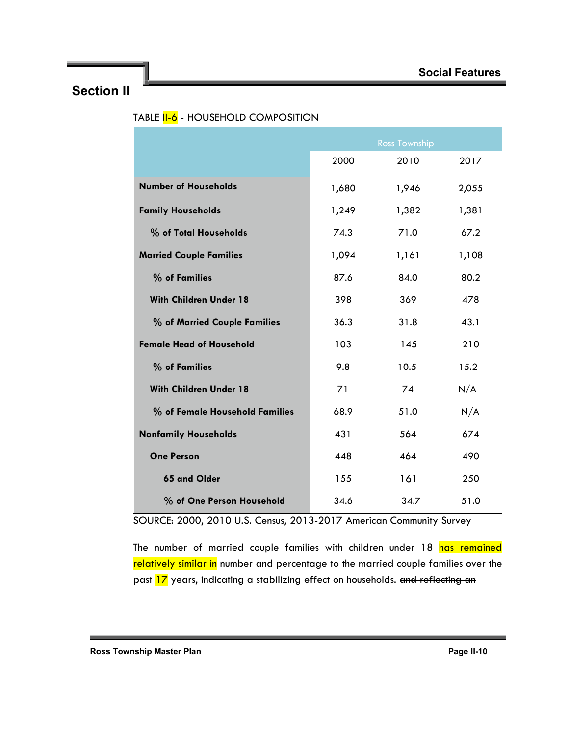|                                 |       | <b>Ross Township</b> |       |
|---------------------------------|-------|----------------------|-------|
|                                 | 2000  | 2010                 | 2017  |
| <b>Number of Households</b>     | 1,680 | 1,946                | 2,055 |
| <b>Family Households</b>        | 1,249 | 1,382                | 1,381 |
| % of Total Households           | 74.3  | 71.0                 | 67.2  |
| <b>Married Couple Families</b>  | 1,094 | 1,161                | 1,108 |
| % of Families                   | 87.6  | 84.0                 | 80.2  |
| <b>With Children Under 18</b>   | 398   | 369                  | 478   |
| % of Married Couple Families    | 36.3  | 31.8                 | 43.1  |
| <b>Female Head of Household</b> | 103   | 145                  | 210   |
| % of Families                   | 9.8   | 10.5                 | 15.2  |
| <b>With Children Under 18</b>   | 71    | 74                   | N/A   |
| % of Female Household Families  | 68.9  | 51.0                 | N/A   |
| <b>Nonfamily Households</b>     | 431   | 564                  | 674   |
| <b>One Person</b>               | 448   | 464                  | 490   |
| 65 and Older                    | 155   | 161                  | 250   |
| % of One Person Household       | 34.6  | 34.7                 | 51.0  |

### TABLE **II-6** - HOUSEHOLD COMPOSITION

SOURCE: 2000, 2010 U.S. Census, 2013-2017 American Community Survey

The number of married couple families with children under 18 has remained relatively similar in number and percentage to the married couple families over the past 17 years, indicating a stabilizing effect on households. and reflecting an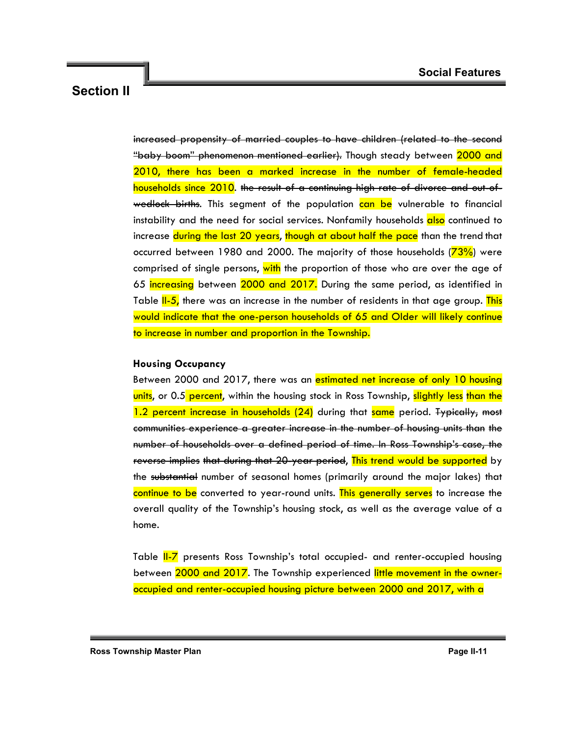increased propensity of married couples to have children (related to the second "baby boom" phenomenon mentioned earlier). Though steady between 2000 and 2010, there has been a marked increase in the number of female-headed households since 2010. the result of a continuing high rate of divorce and out-ofwedlock births. This segment of the population can be vulnerable to financial instability and the need for social services. Nonfamily households also continued to increase during the last 20 years, though at about half the pace than the trend that occurred between 1980 and 2000. The majority of those households  $(73%)$  were comprised of single persons, with the proportion of those who are over the age of 65 increasing between 2000 and 2017. During the same period, as identified in Table II-5, there was an increase in the number of residents in that age group. This would indicate that the one-person households of 65 and Older will likely continue to increase in number and proportion in the Township.

#### **Housing Occupancy**

Between 2000 and 2017, there was an estimated net increase of only 10 housing units, or 0.5 percent, within the housing stock in Ross Township, slightly less than the 1.2 percent increase in households (24) during that same period. Typically, most communities experience a greater increase in the number of housing units than the number of households over a defined period of time. In Ross Township's case, the reverse implies that during that 20-year period, This trend would be supported by the substantial number of seasonal homes (primarily around the major lakes) that continue to be converted to year-round units. This generally serves to increase the overall quality of the Township's housing stock, as well as the average value of a home.

Table II-7 presents Ross Township's total occupied- and renter-occupied housing between 2000 and 2017. The Township experienced little movement in the owneroccupied and renter-occupied housing picture between 2000 and 2017, with a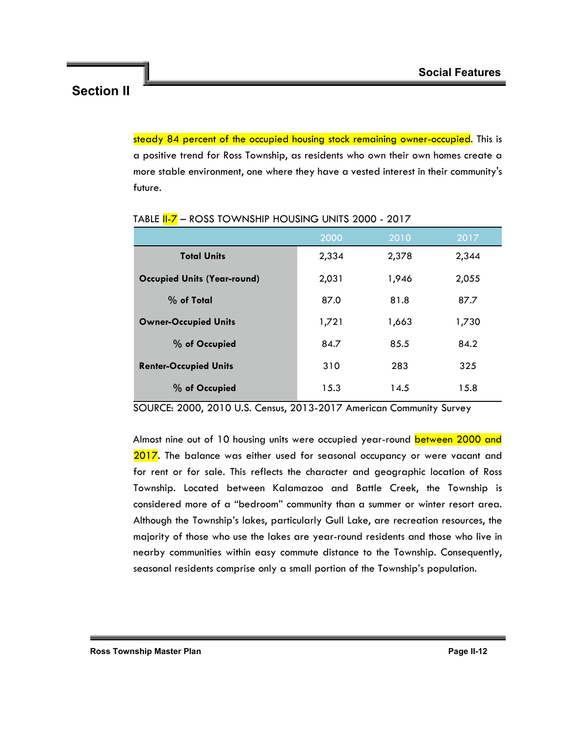steady 84 percent of the occupied housing stock remaining owner-occupied. This is a positive trend for Ross Township, as residents who own their own homes create a more stable environment, one where they have a vested interest in their community's future.

|                                    | 2000  | 2010  | 2017  |
|------------------------------------|-------|-------|-------|
| <b>Total Units</b>                 | 2,334 | 2,378 | 2,344 |
| <b>Occupied Units (Year-round)</b> | 2,031 | 1,946 | 2,055 |
| $%$ of Total                       | 87.0  | 81.8  | 87.7  |
| <b>Owner-Occupied Units</b>        | 1,721 | 1,663 | 1,730 |
| % of Occupied                      | 84.7  | 85.5  | 84.2  |
| <b>Renter-Occupied Units</b>       | 310   | 283   | 325   |
| % of Occupied                      | 15.3  | 14.5  | 15.8  |

TABLE **II-7** - ROSS TOWNSHIP HOUSING UNITS 2000 - 2017

SOURCE: 2000, 2010 U.S. Census, 2013-2017 American Community Survey

Almost nine out of 10 housing units were occupied year-round between 2000 and 2017. The balance was either used for seasonal occupancy or were vacant and for rent or for sale. This reflects the character and geographic location of Ross Township. Located between Kalamazoo and Battle Creek, the Township is considered more of a "bedroom" community than a summer or winter resort area. Although the Township's lakes, particularly Gull Lake, are recreation resources, the majority of those who use the lakes are year-round residents and those who live in nearby communities within easy commute distance to the Township. Consequently, seasonal residents comprise only a small portion of the Township's population.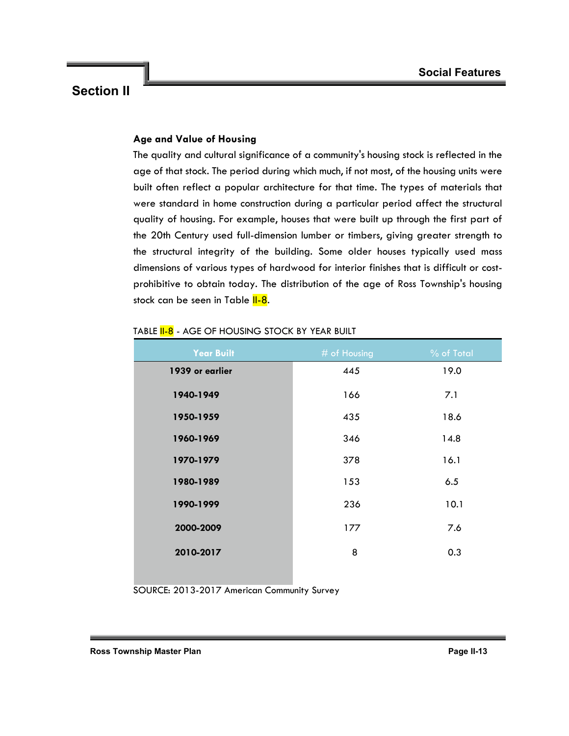### **Age and Value of Housing**

The quality and cultural significance of a community's housing stock is reflected in the age of that stock. The period during which much, if not most, of the housing units were built often reflect a popular architecture for that time. The types of materials that were standard in home construction during a particular period affect the structural quality of housing. For example, houses that were built up through the first part of the 20th Century used full-dimension lumber or timbers, giving greater strength to the structural integrity of the building. Some older houses typically used mass dimensions of various types of hardwood for interior finishes that is difficult or costprohibitive to obtain today. The distribution of the age of Ross Township's housing stock can be seen in Table II-8.

| <b>Year Built</b> | # of Housing | % of Total |
|-------------------|--------------|------------|
| 1939 or earlier   | 445          | 19.0       |
| 1940-1949         | 166          | 7.1        |
| 1950-1959         | 435          | 18.6       |
| 1960-1969         | 346          | 14.8       |
| 1970-1979         | 378          | 16.1       |
| 1980-1989         | 153          | 6.5        |
| 1990-1999         | 236          | 10.1       |
| 2000-2009         | 177          | 7.6        |
| 2010-2017         | 8            | 0.3        |
|                   |              |            |

### TABLE **II-8** - AGE OF HOUSING STOCK BY YEAR BUILT

SOURCE: 2013-2017 American Community Survey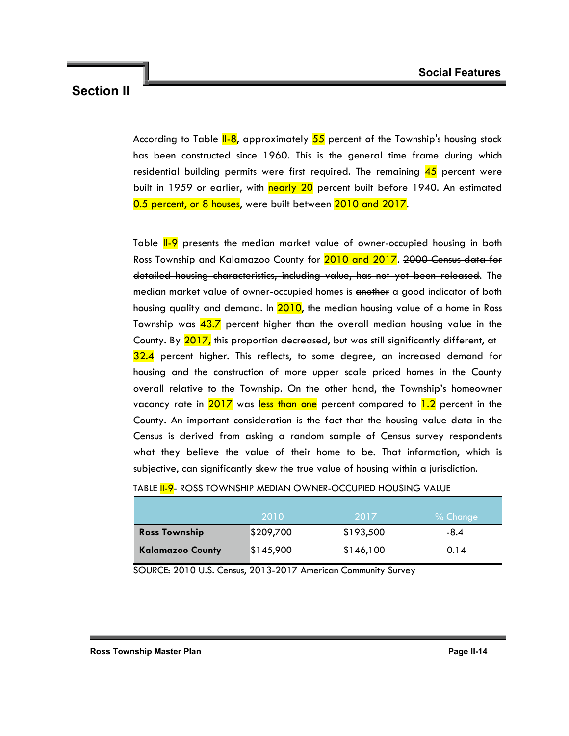According to Table  $II-8$ , approximately  $55$  percent of the Township's housing stock has been constructed since 1960. This is the general time frame during which residential building permits were first required. The remaining  $45$  percent were built in 1959 or earlier, with nearly 20 percent built before 1940. An estimated 0.5 percent, or 8 houses, were built between 2010 and 2017.

Table II-9 presents the median market value of owner-occupied housing in both Ross Township and Kalamazoo County for 2010 and 2017. 2000 Census data for detailed housing characteristics, including value, has not yet been released. The median market value of owner-occupied homes is another a good indicator of both housing quality and demand. In 2010, the median housing value of a home in Ross Township was 43.7 percent higher than the overall median housing value in the County. By 2017, this proportion decreased, but was still significantly different, at 32.4 percent higher. This reflects, to some degree, an increased demand for housing and the construction of more upper scale priced homes in the County overall relative to the Township. On the other hand, the Township's homeowner vacancy rate in  $2017$  was less than one percent compared to  $1.2$  percent in the County. An important consideration is the fact that the housing value data in the Census is derived from asking a random sample of Census survey respondents what they believe the value of their home to be. That information, which is subjective, can significantly skew the true value of housing within a jurisdiction.

|                         | 2010      | 2017      | $%$ Change |
|-------------------------|-----------|-----------|------------|
| <b>Ross Township</b>    | \$209,700 | \$193,500 | -8.4       |
| <b>Kalamazoo County</b> | \$145,900 | \$146,100 | 0.14       |

#### TABLE II-9- ROSS TOWNSHIP MEDIAN OWNER-OCCUPIED HOUSING VALUE

SOURCE: 2010 U.S. Census, 2013-2017 American Community Survey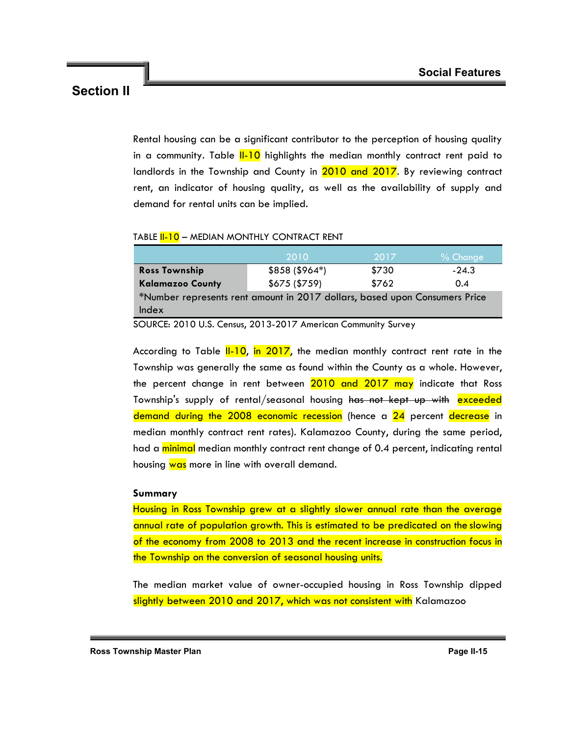Rental housing can be a significant contributor to the perception of housing quality in a community. Table  $II-10$  highlights the median monthly contract rent paid to landlords in the Township and County in 2010 and 2017. By reviewing contract rent, an indicator of housing quality, as well as the availability of supply and demand for rental units can be implied.

#### TABLE II-10 – MEDIAN MONTHLY CONTRACT RENT

|                                                                            | 2010            | 2017  | $%$ Change |
|----------------------------------------------------------------------------|-----------------|-------|------------|
| <b>Ross Township</b>                                                       | $$858 ($964^*)$ | \$730 | $-24.3$    |
| <b>Kalamazoo County</b>                                                    | \$675 (\$759)   | \$762 | 0.4        |
| *Number represents rent amount in 2017 dollars, based upon Consumers Price |                 |       |            |
| Index                                                                      |                 |       |            |

SOURCE: 2010 U.S. Census, 2013-2017 American Community Survey

According to Table  $II-10$ , in 2017, the median monthly contract rent rate in the Township was generally the same as found within the County as a whole. However, the percent change in rent between 2010 and 2017 may indicate that Ross Township's supply of rental/seasonal housing has not kept up with exceeded demand during the 2008 economic recession (hence a 24 percent decrease in median monthly contract rent rates). Kalamazoo County, during the same period, had a minimal median monthly contract rent change of 0.4 percent, indicating rental housing was more in line with overall demand.

#### **Summary**

Housing in Ross Township grew at a slightly slower annual rate than the average annual rate of population growth. This is estimated to be predicated on the slowing of the economy from 2008 to 2013 and the recent increase in construction focus in the Township on the conversion of seasonal housing units.

The median market value of owner-occupied housing in Ross Township dipped slightly between 2010 and 2017, which was not consistent with Kalamazoo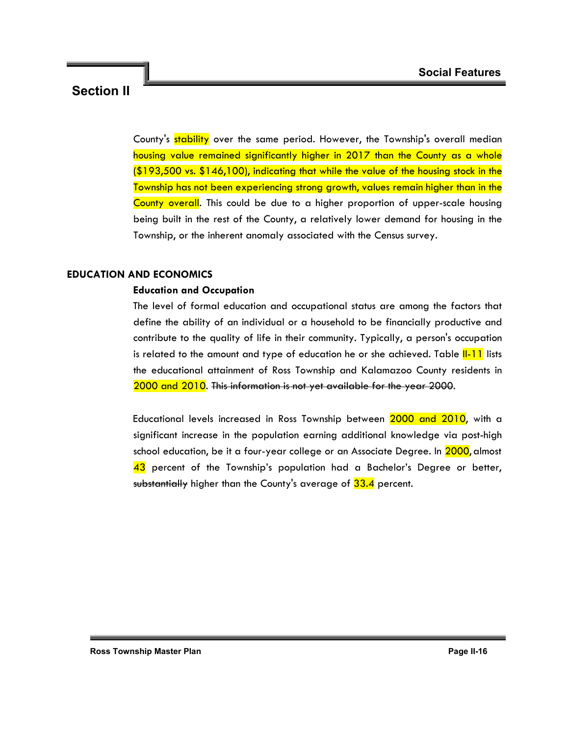County's stability over the same period. However, the Township's overall median housing value remained significantly higher in 2017 than the County as a whole (\$193,500 vs. \$146,100), indicating that while the value of the housing stock in the Township has not been experiencing strong growth, values remain higher than in the County overall. This could be due to a higher proportion of upper-scale housing being built in the rest of the County, a relatively lower demand for housing in the Township, or the inherent anomaly associated with the Census survey.

### **EDUCATION AND ECONOMICS**

### **Education and Occupation**

The level of formal education and occupational status are among the factors that define the ability of an individual or a household to be financially productive and contribute to the quality of life in their community. Typically, a person's occupation is related to the amount and type of education he or she achieved. Table **I-11** lists the educational attainment of Ross Township and Kalamazoo County residents in 2000 and 2010. This information is not yet available for the year 2000.

Educational levels increased in Ross Township between 2000 and 2010, with a significant increase in the population earning additional knowledge via post-high school education, be it a four-year college or an Associate Degree. In 2000, almost 43 percent of the Township's population had a Bachelor's Degree or better, substantially higher than the County's average of 33.4 percent.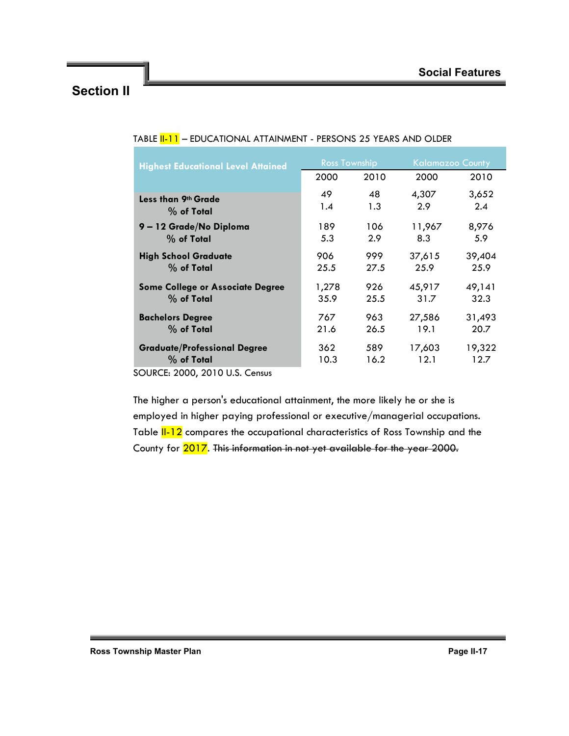| <b>Highest Educational Level Attained</b> | <b>Ross Township</b> |      | <b>Kalamazoo County</b> |        |  |
|-------------------------------------------|----------------------|------|-------------------------|--------|--|
|                                           | 2000                 | 2010 | 2000                    | 2010   |  |
| Less than 9th Grade                       | 49                   | 48   | 4,307                   | 3,652  |  |
| $%$ of Total                              | 1.4                  | 1.3  | 2.9                     | 2.4    |  |
| 9-12 Grade/No Diploma                     | 189                  | 106  | 11,967                  | 8,976  |  |
| % of Total                                | 5.3                  | 2.9  | 8.3                     | 5.9    |  |
| <b>High School Graduate</b>               | 906                  | 999  | 37,615                  | 39,404 |  |
| % of Total                                | 25.5                 | 27.5 | 25.9                    | 25.9   |  |
| <b>Some College or Associate Degree</b>   | 1,278                | 926  | 45,917                  | 49,141 |  |
| $%$ of Total                              | 35.9                 | 25.5 | 31.7                    | 32.3   |  |
| <b>Bachelors Degree</b>                   | 767                  | 963  | 27,586                  | 31,493 |  |
| % of Total                                | 21.6                 | 26.5 | 19.1                    | 20.7   |  |
| <b>Graduate/Professional Degree</b>       | 362                  | 589  | 17,603                  | 19,322 |  |
| $%$ of Total                              | 10.3                 | 16.2 | 12.1                    | 12.7   |  |
| SOURCE: 2000, 2010 U.S. Census            |                      |      |                         |        |  |

### TABLE **II-11** – EDUCATIONAL ATTAINMENT - PERSONS 25 YEARS AND OLDER

The higher a person's educational attainment, the more likely he or she is employed in higher paying professional or executive/managerial occupations. Table **II-12** compares the occupational characteristics of Ross Township and the County for 2017. This information in not yet available for the year 2000.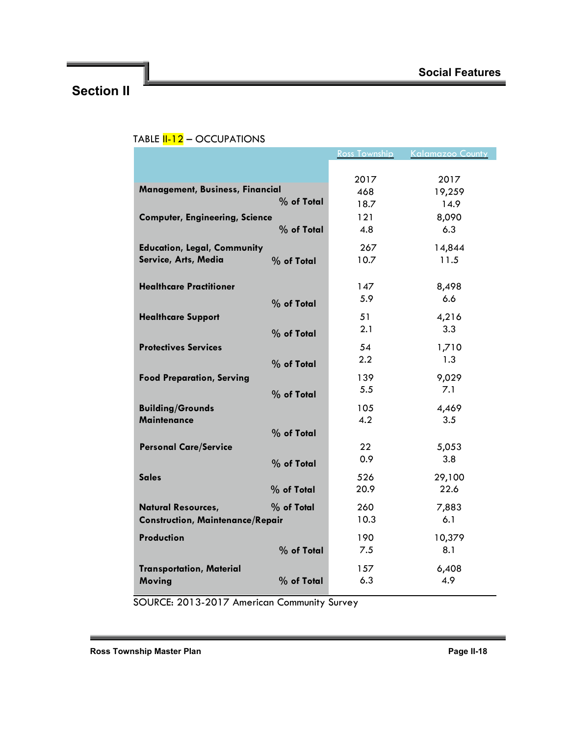|                                         |            | <b>Ross Township</b> | <b>Kalamazoo County</b> |
|-----------------------------------------|------------|----------------------|-------------------------|
|                                         |            |                      |                         |
|                                         |            | 2017                 | 2017                    |
| Management, Business, Financial         |            | 468                  | 19,259                  |
|                                         | % of Total | 18.7                 | 14.9                    |
| <b>Computer, Engineering, Science</b>   |            | 121                  | 8,090                   |
|                                         | % of Total | 4.8                  | 6.3                     |
|                                         |            |                      |                         |
| <b>Education, Legal, Community</b>      |            | 267                  | 14,844                  |
| Service, Arts, Media                    | % of Total | 10.7                 | 11.5                    |
|                                         |            |                      |                         |
| <b>Healthcare Practitioner</b>          |            | 147                  | 8,498                   |
|                                         | % of Total | 5.9                  | 6.6                     |
| <b>Healthcare Support</b>               |            | 51                   | 4,216                   |
|                                         | % of Total | 2.1                  | 3.3                     |
|                                         |            |                      |                         |
| <b>Protectives Services</b>             |            | 54                   | 1,710                   |
|                                         | % of Total | 2.2                  | 1.3                     |
| <b>Food Preparation, Serving</b>        |            | 139                  | 9,029                   |
|                                         | % of Total | 5.5                  | 7.1                     |
| <b>Building/Grounds</b>                 |            | 105                  | 4,469                   |
| <b>Maintenance</b>                      |            | 4.2                  | 3.5                     |
|                                         | % of Total |                      |                         |
|                                         |            |                      |                         |
| <b>Personal Care/Service</b>            |            | 22                   | 5,053                   |
|                                         | % of Total | 0.9                  | 3.8                     |
| <b>Sales</b>                            |            | 526                  | 29,100                  |
|                                         | % of Total | 20.9                 | 22.6                    |
| <b>Natural Resources,</b>               | % of Total | 260                  | 7,883                   |
| <b>Construction, Maintenance/Repair</b> |            | 10.3                 | 6.1                     |
|                                         |            |                      |                         |
| Production                              |            | 190                  | 10,379                  |
|                                         | % of Total | 7.5                  | 8.1                     |
| <b>Transportation, Material</b>         |            | 157                  | 6,408                   |
| Moving                                  | % of Total | 6.3                  | 4.9                     |
|                                         |            |                      |                         |

### TABLE  $11-12 -$  OCCUPATIONS

SOURCE: 2013-2017 American Community Survey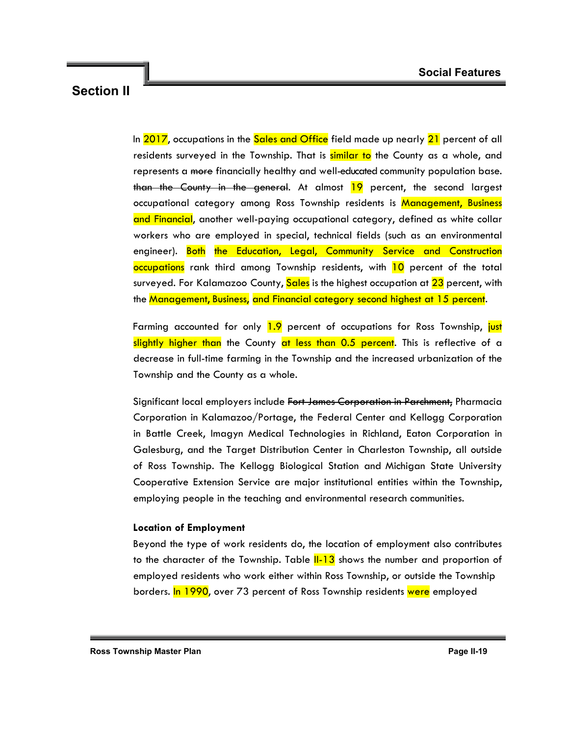In 2017, occupations in the Sales and Office field made up nearly 21 percent of all residents surveyed in the Township. That is similar to the County as a whole, and represents a more financially healthy and well-educated community population base. than the County in the general. At almost  $19$  percent, the second largest occupational category among Ross Township residents is Management, Business and Financial, another well-paying occupational category, defined as white collar workers who are employed in special, technical fields (such as an environmental engineer). Both the Education, Legal, Community Service and Construction occupations rank third among Township residents, with 10 percent of the total surveyed. For Kalamazoo County, Sales is the highest occupation at 23 percent, with the Management, Business, and Financial category second highest at 15 percent.

Farming accounted for only 1.9 percent of occupations for Ross Township, just slightly higher than the County at less than 0.5 percent. This is reflective of a decrease in full-time farming in the Township and the increased urbanization of the Township and the County as a whole.

Significant local employers include Fort James Corporation in Parchment, Pharmacia Corporation in Kalamazoo/Portage, the Federal Center and Kellogg Corporation in Battle Creek, Imagyn Medical Technologies in Richland, Eaton Corporation in Galesburg, and the Target Distribution Center in Charleston Township, all outside of Ross Township. The Kellogg Biological Station and Michigan State University Cooperative Extension Service are major institutional entities within the Township, employing people in the teaching and environmental research communities.

### **Location of Employment**

Beyond the type of work residents do, the location of employment also contributes to the character of the Township. Table  $II-13$  shows the number and proportion of employed residents who work either within Ross Township, or outside the Township borders. In 1990, over 73 percent of Ross Township residents were employed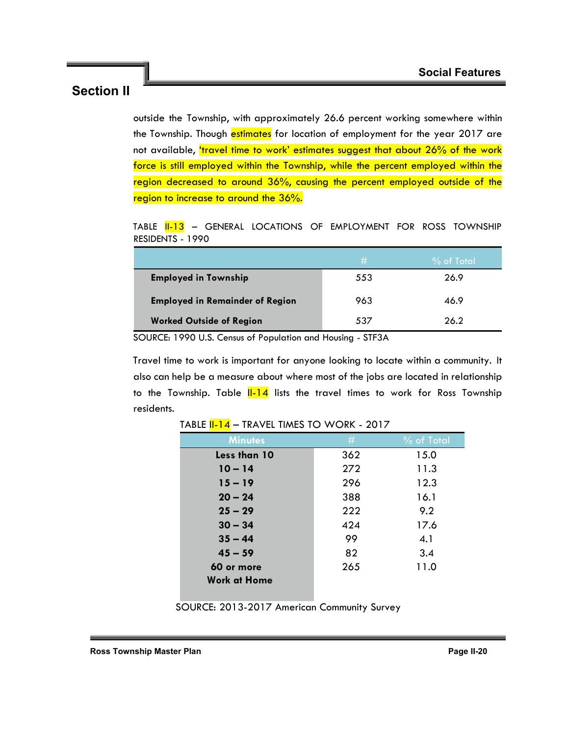outside the Township, with approximately 26.6 percent working somewhere within the Township. Though estimates for location of employment for the year 2017 are not available, *'travel time to work'* estimates suggest that about 26% of the work force is still employed within the Township, while the percent employed within the region decreased to around 36%, causing the percent employed outside of the region to increase to around the 36%.

TABLE **II-13** - GENERAL LOCATIONS OF EMPLOYMENT FOR ROSS TOWNSHIP RESIDENTS - 1990

|                                        | #   | $%$ of Total |
|----------------------------------------|-----|--------------|
| <b>Employed in Township</b>            | 553 | 26.9         |
| <b>Employed in Remainder of Region</b> | 963 | 46.9         |
| <b>Worked Outside of Region</b>        | 537 | 26.2         |

SOURCE: 1990 U.S. Census of Population and Housing - STF3A

Travel time to work is important for anyone looking to locate within a community. It also can help be a measure about where most of the jobs are located in relationship to the Township. Table  $\frac{11-14}{1}$  lists the travel times to work for Ross Township residents.

| <b>Minutes</b>      | #   | % of Total |
|---------------------|-----|------------|
| Less than 10        | 362 | 15.0       |
| $10 - 14$           | 272 | 11.3       |
| $15 - 19$           | 296 | 12.3       |
| $20 - 24$           | 388 | 16.1       |
| $25 - 29$           | 222 | 9.2        |
| $30 - 34$           | 424 | 17.6       |
| $35 - 44$           | 99  | 4.1        |
| $45 - 59$           | 82  | 3.4        |
| 60 or more          | 265 | 11.0       |
| <b>Work at Home</b> |     |            |

TABLE **II-14** – TRAVEL TIMES TO WORK - 2017

SOURCE: 2013-2017 American Community Survey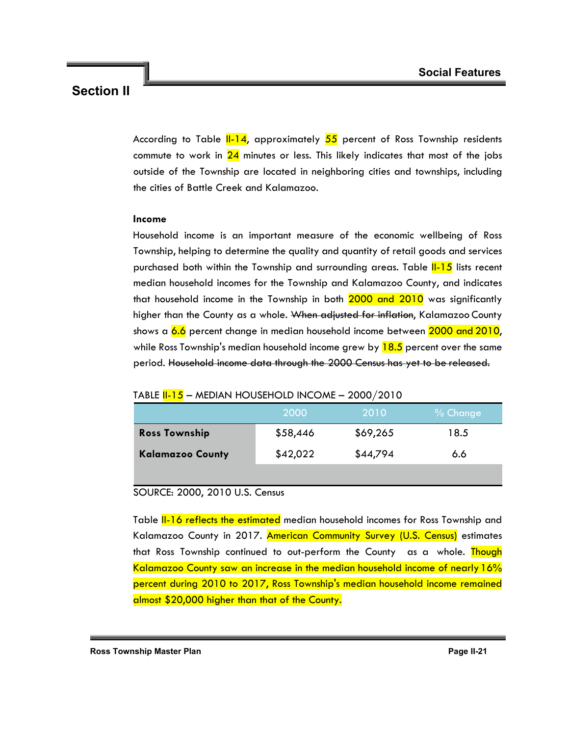According to Table  $II-14$ , approximately  $55$  percent of Ross Township residents commute to work in  $24$  minutes or less. This likely indicates that most of the jobs outside of the Township are located in neighboring cities and townships, including the cities of Battle Creek and Kalamazoo.

### **Income**

Household income is an important measure of the economic wellbeing of Ross Township, helping to determine the quality and quantity of retail goods and services purchased both within the Township and surrounding areas. Table **II-15** lists recent median household incomes for the Township and Kalamazoo County, and indicates that household income in the Township in both 2000 and 2010 was significantly higher than the County as a whole. When adjusted for inflation, Kalamazoo County shows a 6.6 percent change in median household income between 2000 and 2010, while Ross Township's median household income grew by  $18.5$  percent over the same period. Household income data through the 2000 Census has yet to be released.

### TABLE II-15 – MEDIAN HOUSEHOLD INCOME – 2000/2010

|                         | 2000     | 2010     | $%$ Change |
|-------------------------|----------|----------|------------|
| <b>Ross Township</b>    | \$58,446 | \$69,265 | 18.5       |
| <b>Kalamazoo County</b> | \$42,022 | \$44,794 | 6.6        |
|                         |          |          |            |

### SOURCE: 2000, 2010 U.S. Census

Table **II-16 reflects the estimated** median household incomes for Ross Township and Kalamazoo County in 2017. American Community Survey (U.S. Census) estimates that Ross Township continued to out-perform the County as a whole. Though Kalamazoo County saw an increase in the median household income of nearly 16% percent during 2010 to 2017, Ross Township's median household income remained almost \$20,000 higher than that of the County.